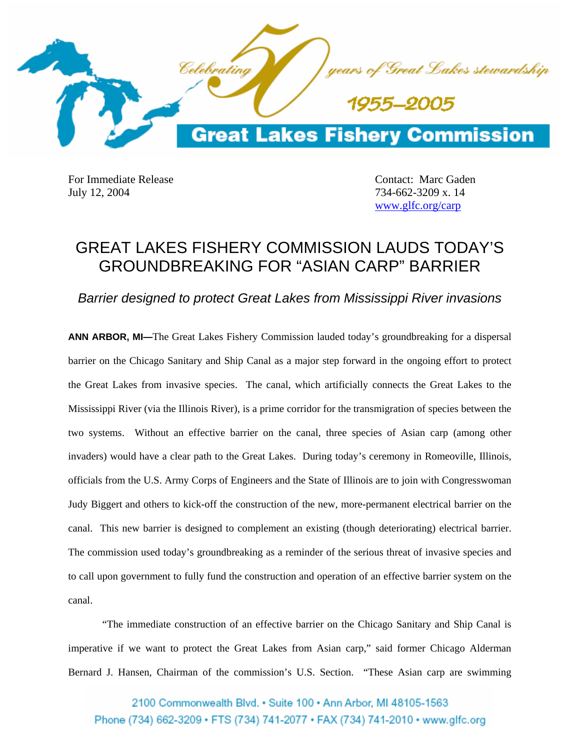

For Immediate Release **Contact:** Marc Gaden July 12, 2004 734-662-3209 x. 14

www.glfc.org/carp

## GREAT LAKES FISHERY COMMISSION LAUDS TODAY'S GROUNDBREAKING FOR "ASIAN CARP" BARRIER

*Barrier designed to protect Great Lakes from Mississippi River invasions* 

**ANN ARBOR, MI—**The Great Lakes Fishery Commission lauded today's groundbreaking for a dispersal barrier on the Chicago Sanitary and Ship Canal as a major step forward in the ongoing effort to protect the Great Lakes from invasive species. The canal, which artificially connects the Great Lakes to the Mississippi River (via the Illinois River), is a prime corridor for the transmigration of species between the two systems. Without an effective barrier on the canal, three species of Asian carp (among other invaders) would have a clear path to the Great Lakes. During today's ceremony in Romeoville, Illinois, officials from the U.S. Army Corps of Engineers and the State of Illinois are to join with Congresswoman Judy Biggert and others to kick-off the construction of the new, more-permanent electrical barrier on the canal. This new barrier is designed to complement an existing (though deteriorating) electrical barrier. The commission used today's groundbreaking as a reminder of the serious threat of invasive species and to call upon government to fully fund the construction and operation of an effective barrier system on the canal.

 "The immediate construction of an effective barrier on the Chicago Sanitary and Ship Canal is imperative if we want to protect the Great Lakes from Asian carp," said former Chicago Alderman Bernard J. Hansen, Chairman of the commission's U.S. Section. "These Asian carp are swimming

2100 Commonwealth Blvd. . Suite 100 . Ann Arbor, MI 48105-1563 Phone (734) 662-3209 · FTS (734) 741-2077 · FAX (734) 741-2010 · www.glfc.org